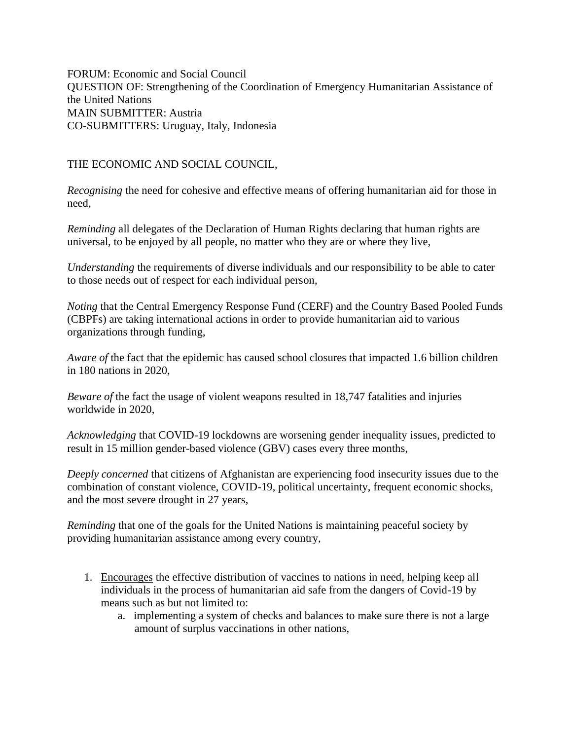FORUM: Economic and Social Council QUESTION OF: Strengthening of the Coordination of Emergency Humanitarian Assistance of the United Nations MAIN SUBMITTER: Austria CO-SUBMITTERS: Uruguay, Italy, Indonesia

THE ECONOMIC AND SOCIAL COUNCIL,

*Recognising* the need for cohesive and effective means of offering humanitarian aid for those in need,

*Reminding* all delegates of the Declaration of Human Rights declaring that human rights are universal, to be enjoyed by all people, no matter who they are or where they live,

*Understanding* the requirements of diverse individuals and our responsibility to be able to cater to those needs out of respect for each individual person,

*Noting* that the Central Emergency Response Fund (CERF) and the Country Based Pooled Funds (CBPFs) are taking international actions in order to provide humanitarian aid to various organizations through funding,

*Aware of* the fact that the epidemic has caused school closures that impacted 1.6 billion children in 180 nations in 2020,

*Beware of* the fact the usage of violent weapons resulted in 18,747 fatalities and injuries worldwide in 2020,

*Acknowledging* that COVID-19 lockdowns are worsening gender inequality issues, predicted to result in 15 million gender-based violence (GBV) cases every three months,

*Deeply concerned* that citizens of Afghanistan are experiencing food insecurity issues due to the combination of constant violence, COVID-19, political uncertainty, frequent economic shocks, and the most severe drought in 27 years,

*Reminding* that one of the goals for the United Nations is maintaining peaceful society by providing humanitarian assistance among every country,

- 1. Encourages the effective distribution of vaccines to nations in need, helping keep all individuals in the process of humanitarian aid safe from the dangers of Covid-19 by means such as but not limited to:
	- a. implementing a system of checks and balances to make sure there is not a large amount of surplus vaccinations in other nations,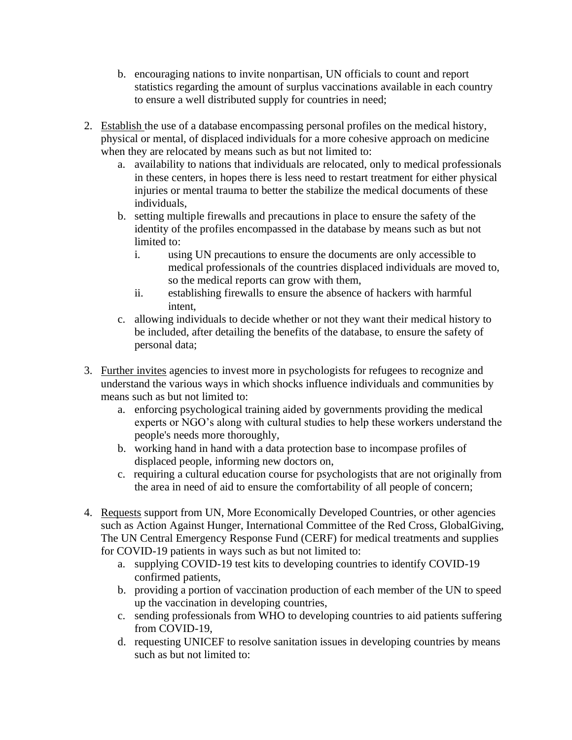- b. encouraging nations to invite nonpartisan, UN officials to count and report statistics regarding the amount of surplus vaccinations available in each country to ensure a well distributed supply for countries in need;
- 2. Establish the use of a database encompassing personal profiles on the medical history, physical or mental, of displaced individuals for a more cohesive approach on medicine when they are relocated by means such as but not limited to:
	- a. availability to nations that individuals are relocated, only to medical professionals in these centers, in hopes there is less need to restart treatment for either physical injuries or mental trauma to better the stabilize the medical documents of these individuals,
	- b. setting multiple firewalls and precautions in place to ensure the safety of the identity of the profiles encompassed in the database by means such as but not limited to:
		- i. using UN precautions to ensure the documents are only accessible to medical professionals of the countries displaced individuals are moved to, so the medical reports can grow with them,
		- ii. establishing firewalls to ensure the absence of hackers with harmful intent,
	- c. allowing individuals to decide whether or not they want their medical history to be included, after detailing the benefits of the database, to ensure the safety of personal data;
- 3. Further invites agencies to invest more in psychologists for refugees to recognize and understand the various ways in which shocks influence individuals and communities by means such as but not limited to:
	- a. enforcing psychological training aided by governments providing the medical experts or NGO's along with cultural studies to help these workers understand the people's needs more thoroughly,
	- b. working hand in hand with a data protection base to incompase profiles of displaced people, informing new doctors on,
	- c. requiring a cultural education course for psychologists that are not originally from the area in need of aid to ensure the comfortability of all people of concern;
- 4. Requests support from UN, More Economically Developed Countries, or other agencies such as Action Against Hunger, International Committee of the Red Cross, GlobalGiving, The UN Central Emergency Response Fund (CERF) for medical treatments and supplies for COVID-19 patients in ways such as but not limited to:
	- a. supplying COVID-19 test kits to developing countries to identify COVID-19 confirmed patients,
	- b. providing a portion of vaccination production of each member of the UN to speed up the vaccination in developing countries,
	- c. sending professionals from WHO to developing countries to aid patients suffering from COVID-19,
	- d. requesting UNICEF to resolve sanitation issues in developing countries by means such as but not limited to: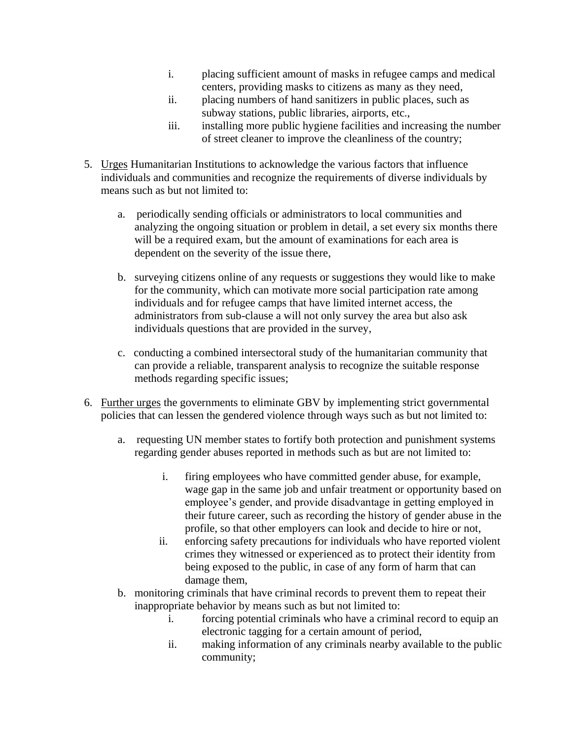- i. placing sufficient amount of masks in refugee camps and medical centers, providing masks to citizens as many as they need,
- ii. placing numbers of hand sanitizers in public places, such as subway stations, public libraries, airports, etc.,
- iii. installing more public hygiene facilities and increasing the number of street cleaner to improve the cleanliness of the country;
- 5. Urges Humanitarian Institutions to acknowledge the various factors that influence individuals and communities and recognize the requirements of diverse individuals by means such as but not limited to:
	- a. periodically sending officials or administrators to local communities and analyzing the ongoing situation or problem in detail, a set every six months there will be a required exam, but the amount of examinations for each area is dependent on the severity of the issue there,
	- b. surveying citizens online of any requests or suggestions they would like to make for the community, which can motivate more social participation rate among individuals and for refugee camps that have limited internet access, the administrators from sub-clause a will not only survey the area but also ask individuals questions that are provided in the survey,
	- c. conducting a combined intersectoral study of the humanitarian community that can provide a reliable, transparent analysis to recognize the suitable response methods regarding specific issues;
- 6. Further urges the governments to eliminate GBV by implementing strict governmental policies that can lessen the gendered violence through ways such as but not limited to:
	- a. requesting UN member states to fortify both protection and punishment systems regarding gender abuses reported in methods such as but are not limited to:
		- i. firing employees who have committed gender abuse, for example, wage gap in the same job and unfair treatment or opportunity based on employee's gender, and provide disadvantage in getting employed in their future career, such as recording the history of gender abuse in the profile, so that other employers can look and decide to hire or not,
		- ii. enforcing safety precautions for individuals who have reported violent crimes they witnessed or experienced as to protect their identity from being exposed to the public, in case of any form of harm that can damage them,
	- b. monitoring criminals that have criminal records to prevent them to repeat their inappropriate behavior by means such as but not limited to:
		- i. forcing potential criminals who have a criminal record to equip an electronic tagging for a certain amount of period,
		- ii. making information of any criminals nearby available to the public community;